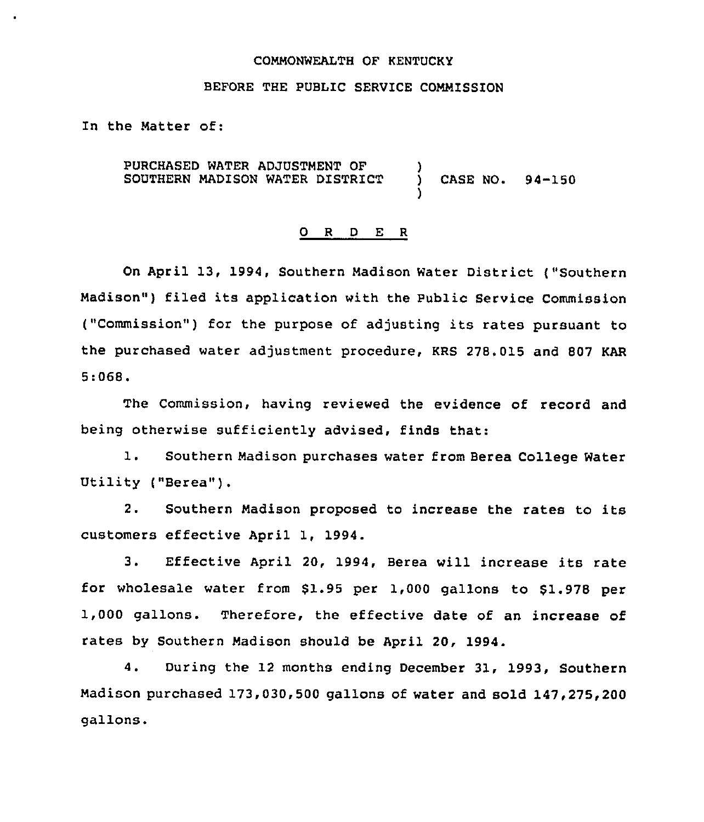#### COMMONWEALTH OF KENTUCKY

### BEFORE THE PUBLIC SERVICE COMMISSION

In the Matter of:

 $\bullet$ 

PURCHASED WATER ADJUSTMENT OF )<br>SOUTHERN MADISON WATER DISTRICT ) SOUTHERN MADISON WATER DISTRICT ) CASE NO. 94-150

#### 0 R <sup>D</sup> E <sup>R</sup>

 $\overline{\phantom{a}}$ 

On April 13, 1994, Southern Madison Water District ("Southern Madison") filed its application with the Public Service Commission ("Commission") for the purpose of adjusting its rates pursuant to the purchased water adjustment procedure, KRS 278.015 and 807 KAR 5:068.

The Commission, having reviewed the evidence of record and being otherwise sufficiently advised, finds that:

1. Southern Madison purchases water from Berea College Water Utility {"Berea").

2. Southern Madison proposed to increase the rates to its customers effective April 1, 1994.

3. Effective April 20, 1994, Berea will increase its rate for wholesale water from \$1.95 per 1,000 gallons to \$1.978 per 1,000 gallons. Therefore, the effective date of an increase of rates by Southern Madison should be April 20, 1994.

4. During the 12 months ending December 31, 1993, Southern Madison purchased 173,030,500 gallons of water and sold 147,275,200 gallons.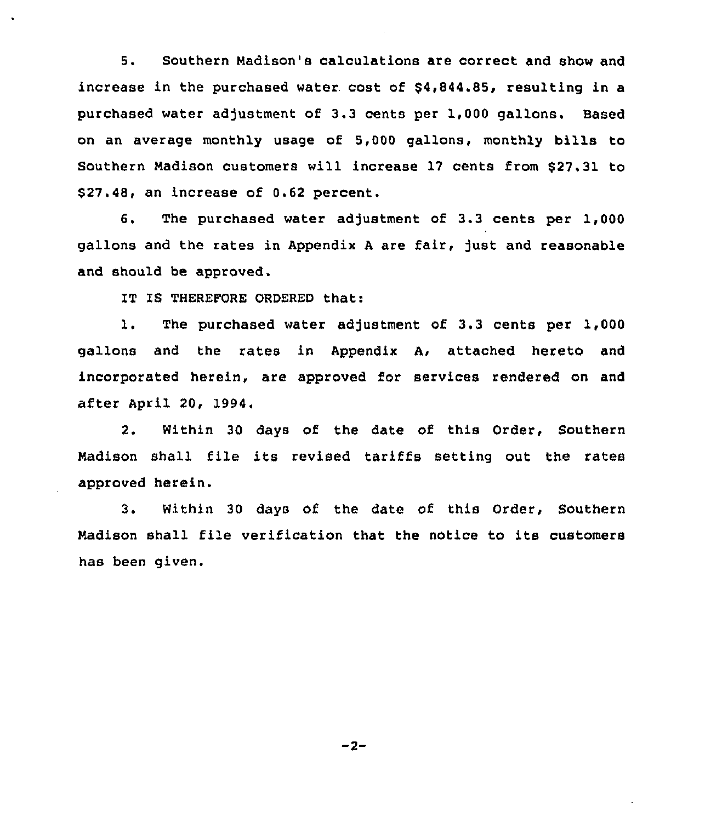5. Southern Nadison's calculations are correct and show and increase in the purchased water cost of  $$4,844.85$ , resulting in a purchased water adjustment of 3.3 cents per 1,000 gallons. Based on an average monthly usage of 5,000 gallons, monthly bills to Southern Madison customers will increase 17 cents from \$27.31 to \$ 27.48, an increase of 0.62 percent.

6. The purchased water adjustment of 3.3 cents per 1,000 gallons and the rates in Appendix <sup>A</sup> are fair, just and reasonable and should be approved.

IT IS THEREFORE ORDERED that:

1. The purchased water adjustment of 3.3 cents per 1,000 gallons and the rates in Appendix A, attached hereto and incorporated herein, are approved for services rendered on and after April 20, 1994.

2. Within 30 days of the date of this Order, Southern Nadison shall file its revised tariffs setting out the rates approved herein.

3. Within 30 days of the date of this Order, Southern Nadison shall file verification that the notice to its customers has been given.

 $-2-$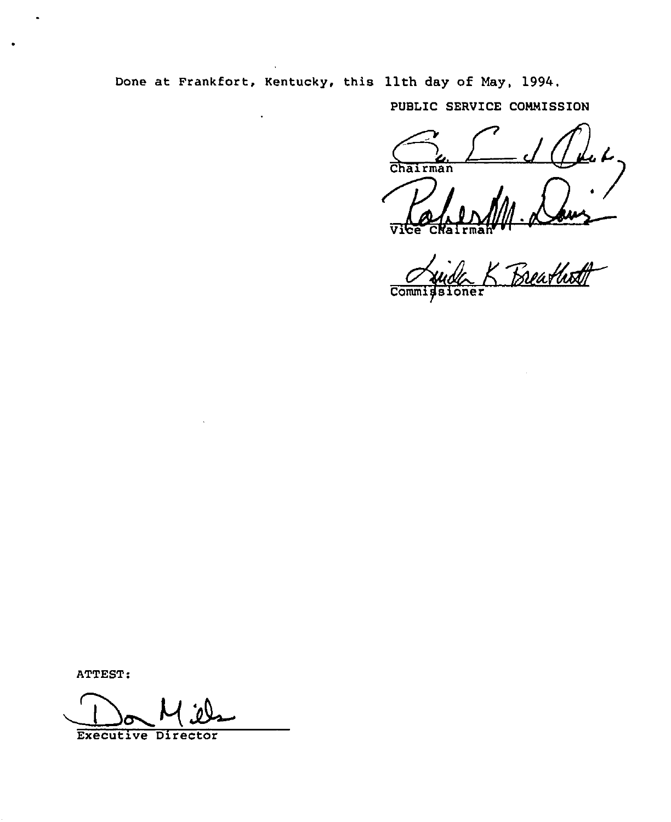Done at Frankfort, Kentucky, this llth day of May, 1994.

PUBLIC SERVICE COMMISSION

Chairman

Reatheth Comm:  $\overline{\mathbf{s}}$ 

ATTEST:

**Executive Director**